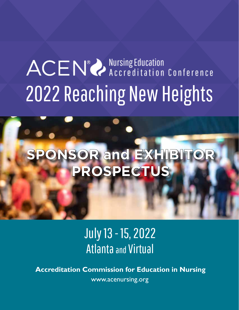# ACEN<sup>®</sup> Accreditation Conference 2022 Reaching New Heights

# **SPONSOR and EXHIBITOR PROSPECTUS**

July 13 - 15, 2022 Atlanta and Virtual

**Accreditation Commission for Education in Nursing** www.acenursing.org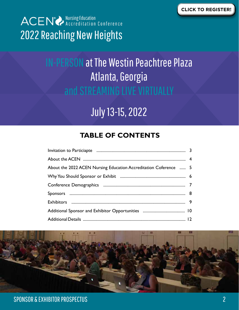

# IN-PERSON at The Westin Peachtree Plaza Atlanta, Georgia and STREAMING LIVE VIRTUALLY

# July 13-15, 2022

# **TABLE OF CONTENTS**

| About the 2022 ACEN Nursing Education Accreditation Coference  5 |  |
|------------------------------------------------------------------|--|
|                                                                  |  |
|                                                                  |  |
|                                                                  |  |
|                                                                  |  |
|                                                                  |  |
|                                                                  |  |

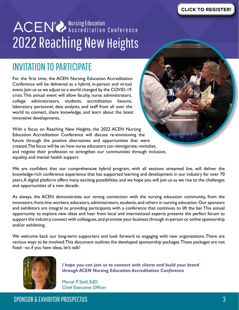# ACEN<sup>®</sup> Accreditation Conference 2022 Reaching New Heights

# INVITATION TO PARTICIPATE

For the first time, the ACEN Nursing Education Accreditation Conference will be delivered as a hybrid, in-person and virtual event. Join us as we adjust to a world changed by the COVID-19 crisis. This annual event will allow faculty, nurse administrators, college administrators, students, accreditation liaisons, laboratory personnel, data analysts, and staff from all over the world to connect, share knowledge, and learn about the latest innovative developments.

With a focus on Reaching New Heights, the 2022 ACEN Nursing Education Accreditation Conference will discuss re-envisioning the future through the positive alternatives and opportunities that were created. The focus will be on how nurse educators can reinvigorate, revitalize, and reignite their profession to strengthen our communities through inclusion, equality, and mental health support.

We are confident that our comprehensive hybrid program, with all sessions streamed live, will deliver the knowledge-rich conference experience that has supported learning and development in our industry for over 70 years. A digital platform offers many exciting possibilities, and we hope you will join us as we rise to the challenges and opportunities of a new decade.

As always, the ACEN demonstrates our strong connection with the nursing education community, from the innovators, front-line workers, educators, administrators, students, and others in nursing education. Our sponsors and exhibitors are integral to providing participants with a conference that continues to lift the bar. This annual opportunity to explore new ideas and hear from local and international experts presents the perfect forum to support the industry, connect with colleagues, and promote your business through in-person or online sponsorship and/or exhibiting.

We welcome back our long-term supporters and look forward to engaging with new organizations. There are various ways to be involved. This document outlines the developed sponsorship packages. These packages are not fixed –so if you have ideas, let's talk!



*I hope you can join us to connect with clients and build your brand through ACEN Nursing Education Accreditation Conference*

Marsal P. Stoll, EdD Chief Executive Officer

SPONSOR & EXHIBITOR PROSPECTUS 3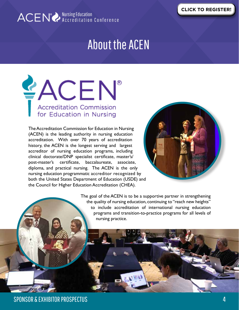

# About the ACEN

**EACEN®** Accreditation Commission<br>for Education in Nursing

The Accreditation Commission for Education in Nursing (ACEN) is the leading authority in nursing education accreditation. With over 70 years of accreditation history, the ACEN is the longest serving and largest accreditor of nursing education programs, including clinical doctorate/DNP specialist certificate, master's/ post-master's certificate, baccalaureate, associate, diploma, and practical nursing. The ACEN is the only nursing education programmatic accreditor recognized by both the United States Department of Education (USDE) and the Council for Higher Education Accreditation (CHEA).



The goal of the ACEN is to be a supportive partner in strengthening the quality of nursing education, continuing to "reach new heights" to include accreditation of international nursing education programs and transition-to-practice programs for all levels of nursing practice.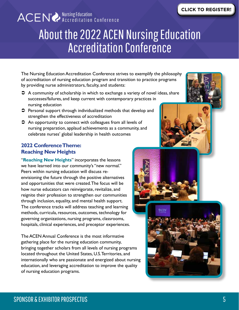# About the 2022 ACEN Nursing Education Accreditation Conference

The Nursing Education Accreditation Conference strives to exemplify the philosophy of accreditation of nursing education program and transition to practice programs by providing nurse administrators, faculty, and students:

- $\supset$  A community of scholarship in which to exchange a variety of novel ideas, share successes/failures, and keep current with contemporary practices in nursing education
- $\supset$  Personal support through individualized methods that develop and strengthen the effectiveness of accreditation
- $\supset$  An opportunity to connect with colleagues from all levels of nursing preparation, applaud achievements as a community, and celebrate nurses' global leadership in health outcomes

### **2022 Conference Theme: Reaching New Heights**

"**Reaching New Heights**" incorporates the lessons we have learned into our community's "new normal." Peers within nursing education will discuss reenvisioning the future through the positive alternatives and opportunities that were created. The focus will be how nurse educators can reinvigorate, revitalize, and reignite their profession to strengthen our communities through inclusion, equality, and mental health support. The conference tracks will address teaching and learning methods, curricula, resources, outcomes, technology for governing organizations, nursing programs, classrooms, hospitals, clinical experiences, and preceptor experiences.

The ACEN Annual Conference is the most informative gathering place for the nursing education community, bringing together scholars from all levels of nursing programs located throughout the United States, U.S. Territories, and internationally who are passionate and energized about nursing education, and leveraging accreditation to improve the quality of nursing education programs.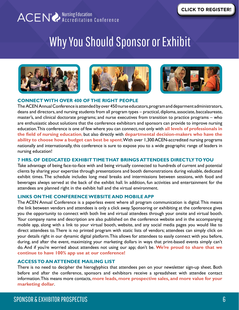

# Why You Should Sponsor or Exhibit







#### **CONNECT WITH OVER 400 OF THE RIGHT PEOPLE**

The ACEN Annual Conference is attended by over 450 nurse educators, program and deparment administrators, deans and directors, and nursing students from all program types – practical, diploma, associate, baccalaureate, master's, and clinical doctorate programs; and nurse executives from transition to practice programs – who are enthusiastic about solutions that the conference exhibitors and sponsors can provide to improve nursing education. This conference is one of few where you can connect, not only with **all levels of professionals in the field of nursing education**, but also directly with **departmental decision-makers who have the ability to choose how a budget can best be spent**. With over 1,300 ACEN-accredited nursing programs nationally and internationally, this conference is sure to expose you to a wide geographic range of leaders in nursing education!

#### **7 HRS. OF DEDICATED EXHIBIT TIME THAT BRINGS ATTENDEES DIRECTLY TO YOU**

Take advantage of being face-to-face with and being virtually connected to hundreds of current and potential clients by sharing your expertise through presentations and booth demonstrations during valuable, dedicated exhibit times. The schedule includes long meal breaks and intermissions between sessions, with food and beverages always served at the back of the exhibit hall. In addition, fun activities and entertainment for the attendees are planned right in the exhibit hall and the virtual environment.

#### **LINKS ON THE CONFERENCE WEBSITE AND MOBILE APP**

The ACEN Annual Conference is a paperless event where all program communication is digital. This means the link between vendors and attendees is only a click away. Sponsoring or exhibiting at the conference gives you the opportunity to connect with both live and virtual attendees through your onsite and virtual booth. Your company name and description are also published on the conference website and in the accompanying mobile app, along with a link to your virtual booth, website, and any social media pages you would like to direct attendees to. There is no printed program with static lists of vendors; attendees can simply click on your details right in our dynamic digital platform. This allows for attendees to easily connect with you before, during, and after the event, maximizing your marketing dollars in ways that print-based events simply can't do. And if you're worried about attendees not using our app; don't be. **We're proud to share that we continue to have 100% app use at our conference!**

#### **ACCESS TO AN ATTENDEE MAILING LIST**

There is no need to decipher the hieroglyphics that attendees pen on your newsletter sign-up sheet. Both before and after the conference, sponsors and exhibitors receive a spreadsheet with attendee contact information. This means more contacts, **more leads, more prospective sales, and more value for your marketing dollar**.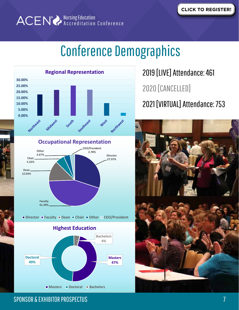# Conference Demographics



2019 [LIVE] Attendance: 461 2021 [VIRTUAL] Attendance: 753 2020 [CANCELLED]

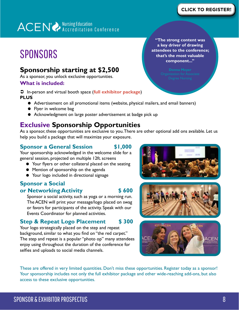# **SPONSORS**

### **Sponsorship starting at \$2,500**

As a sponsor, you unlock exclusive opportunities.

### **What is included:**

Â In-person and virtual booth space (**full exhibitor package**) **PLUS**

- Advertisement on all promotional items (website, physical mailers, and email banners)
- Flyer in welcome bag
- Acknowledgment on large poster advertisement at badge pick up

# **Exclusive Sponsorship Opportunities**

As a sponsor, these opportunities are exclusive to you. There are other optional add ons available. Let us help you build a package that will maximize your exposure.

### **Sponsor a General Session \$1,000**

Your sponsorship acknowledged in the welcome slide for a general session, projected on multiple 12ft. screens

- Your flyers or other collateral placed on the seating
- **•** Mention of sponsorship on the agenda
- Your logo included in directional signage

### **Sponsor a Social**

#### **or Networking Activity 5600**

Sponsor a social activity, such as yoga or a morning run. The ACEN will print your message/logo placed on swag or favors for participants of the activity. Speak with our Events Coordinator for planned activities.

### **Step & Repeat Logo Placement \$ 300**

Your logo strategically placed on the step and repeat background, similar to what you find on "the red carpet." The step and repeat is a popular "photo op" many attendees enjoy using throughout the duration of the conference for selfies and uploads to social media channels.

These are offered in very limited quantities. Don't miss these opportunities. Register today as a sponsor! Your sponsorship includes not only the full exhibitor package and other wide-reaching add-ons, but also access to these exclusive opportunities.

**"The strong content was a key driver of drawing attendees to the conference; that's the most valuable component..."** 





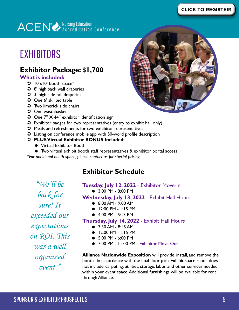### **[CLICK TO REGISTER!](https://web.cvent.com/event/87b753be-99e2-4bcf-8806-360456bccb01/summary)**

# ACEN<sup>®</sup> Accreditation Conference

# EXHIBITORS

# **Exhibitor Package: \$1,700**

#### **What is included:**

- $\bigcirc$  10'x10' booth space\*
- $\supset$  8' high back wall draperies
- $\supset$  3' high side rail draperies
- One 6' skirted table
- $\bullet$  Two limerick side chairs
- $\supset$  One wastebasket
- One 7" X 44" exhibitor identification sign
- Â Exhibitor badges for two representatives (entry to exhibit hall only)
- $\supset$  Meals and refreshments for two exhibitor representatives
- $\supset$  Listing on conference mobile app with 50-word profile description

#### Â **PLUS Virtual Exhibitor BONUS Included:**

- **•** Virtual Exhibitor Booth
- Two virtual exhibit booth staff representatives & exhibitor portal access

*\*For additional booth space, please contact us for special pricing.*

# **Exhibitor Schedule**

*"We'll be back for sure! It exceeded our expectations on ROI. This was a well organized event."*

### **Tuesday, July 12, 2022** - Exhibitor Move-In

● 3:00 PM - 8:00 PM

#### **Wednesday, July 13, 2022** - Exhibit Hall Hours

- 8:00 AM 9:00 AM
- $\bullet$  12:00 PM 1:15 PM
- $\bullet$  4:00 PM 5:15 PM

#### **Thursday, July 14, 2022** - Exhibit Hall Hours

- 7:30 AM 8:45 AM
- $\bullet$  12:00 PM 1:15 PM
- 5:00 PM 6:00 PM
- 7:00 PM 11:00 PM Exhibitor Move-Out

**Alliance Nationwide Exposition** will provide, install, and remove the booths in accordance with the final floor plan. Exhibit space rental does not include: carpeting, utilities, storage, labor, and other services needed within your event space. Additional furnishings will be available for rent through Alliance.

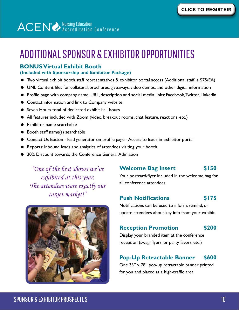# ADDITIONAL SPONSOR & EXHIBITOR OPPORTUNITIES

### **BONUS Virtual Exhibit Booth**

#### **(Included with Sponsorship and Exhibitor Package)**

- Two virtual exhibit booth staff representatives & exhibitor portal access (Additional staff is \$75/EA)
- UNL Content files for collateral, brochures, giveaways, video demos, and other digital information
- Profile page with company name, URL, description and social media links: Facebook, Twitter, Linkedin
- **Contact information and link to Company website**
- Seven Hours total of dedicated exhibit hall hours
- All features included with Zoom (video, breakout rooms, chat feature, reactions, etc.)
- **•** Exhibitor name searchable
- Booth staff name(s) searchable
- Contact Us Button lead generator on profile page Access to leads in exhibitor portal
- Reports: Inbound leads and analytics of attendees visiting your booth.
- 30% Discount towards the Conference General Admission

*"One of the best shows we've exhibited at this year. The attendees were exactly our target market!"* 



### **Welcome Bag Insert \$150**

Your postcard/flyer included in the welcome bag for all conference attendees.

### **Push Notifications \$175**

Notifications can be used to inform, remind, or update attendees about key info from your exhibit.

### **Reception Promotion \$200**

Display your branded item at the conference reception (swag, flyers, or party favors, etc.)

### **Pop-Up Retractable Banner \$600**

One 33" x 78" pop-up retractable banner printed for you and placed at a high-traffic area.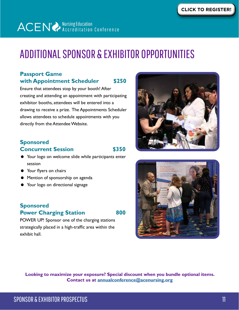# ADDITIONAL SPONSOR & EXHIBITOR OPPORTUNITIES

### **Passport Game with Appointment Scheduler \$250**

Ensure that attendees stop by your booth! After creating and attending an appointment with participating exhibitor booths, attendees will be entered into a drawing to receive a prize. The Appointments Scheduler allows attendees to schedule appointments with you directly from the Attendee Website.

### **Sponsored Concurrent Session 5350**

- Your logo on welcome slide while participants enter session
- Your flyers on chairs
- Mention of sponsorship on agenda
- Your logo on directional signage

### **Sponsored Power Charging Station 800**

POWER UP! Sponsor one of the charging stations strategically placed in a high-traffic area within the exhibit hall.





**Looking to maximize your exposure? Special discount when you bundle optional items. Contact us at [annualconference@acenursing.org](mailto:annualconference%40acenursing.org?subject=Sponsor%20and%20Exhibitor%20Opportunities)**